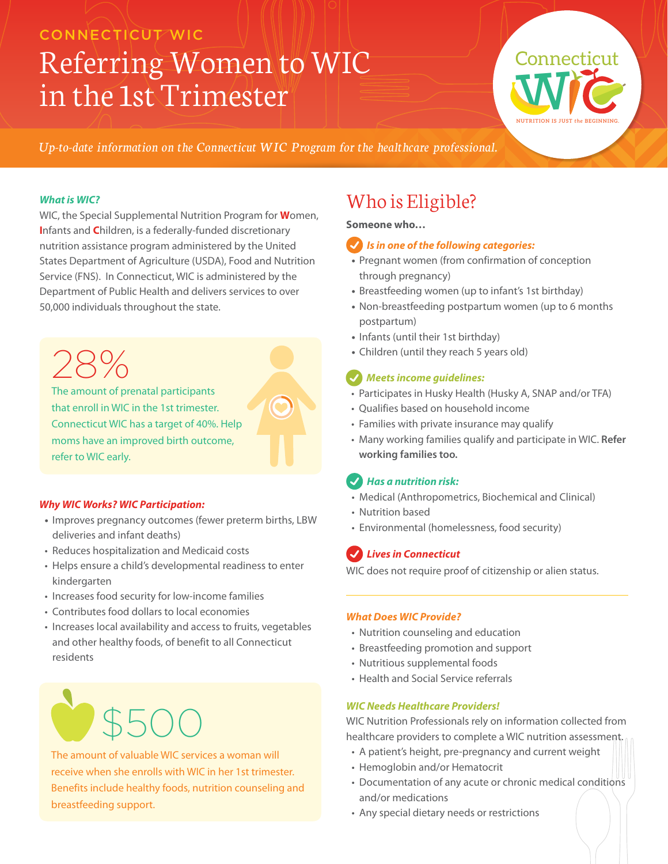### CONNECTICUT WIC

# Referring Women to WIC in the 1st Trimester



*Up-to-date information on the Connecticut WIC Program for the healthcare professional.*

### *What is WIC?*

WIC, the Special Supplemental Nutrition Program for **W**omen, **I**nfants and **C**hildren, is a federally-funded discretionary nutrition assistance program administered by the United States Department of Agriculture (USDA), Food and Nutrition Service (FNS). In Connecticut, WIC is administered by the Department of Public Health and delivers services to over 50,000 individuals throughout the state.

The amount of prenatal participants that enroll in WIC in the 1st trimester. Connecticut WIC has a target of 40%. Help moms have an improved birth outcome, refer to WIC early. 28%

### *Why WIC Works? WIC Participation:*

- **•** Improves pregnancy outcomes (fewer preterm births, LBW deliveries and infant deaths)
- Reduces hospitalization and Medicaid costs
- Helps ensure a child's developmental readiness to enter kindergarten
- Increases food security for low-income families
- Contributes food dollars to local economies
- Increases local availability and access to fruits, vegetables and other healthy foods, of benefit to all Connecticut residents



The amount of valuable WIC services a woman will receive when she enrolls with WIC in her 1st trimester. Benefits include healthy foods, nutrition counseling and breastfeeding support.

# Who is Eligible?

### **Someone who…**

### *Is in one of the following categories:*

- **•** Pregnant women (from confirmation of conception through pregnancy)
- **•** Breastfeeding women (up to infant's 1st birthday)
- **•** Non-breastfeeding postpartum women (up to 6 months postpartum)
- **•** Infants (until their 1st birthday)
- **•** Children (until they reach 5 years old)

### *Meets income guidelines:*

- Participates in Husky Health (Husky A, SNAP and/or TFA)
- Qualifies based on household income
- Families with private insurance may qualify
- Many working families qualify and participate in WIC. **Refer working families too.**

### *Has a nutrition risk:*

- Medical (Anthropometrics, Biochemical and Clinical)
- Nutrition based
- Environmental (homelessness, food security)

### *Lives in Connecticut*

WIC does not require proof of citizenship or alien status.

### *What Does WIC Provide?*

- Nutrition counseling and education
- Breastfeeding promotion and support
- Nutritious supplemental foods
- Health and Social Service referrals

### *WIC Needs Healthcare Providers!*

WIC Nutrition Professionals rely on information collected from healthcare providers to complete a WIC nutrition assessment.

- A patient's height, pre-pregnancy and current weight
- Hemoglobin and/or Hematocrit
- Documentation of any acute or chronic medical conditions and/or medications
- Any special dietary needs or restrictions